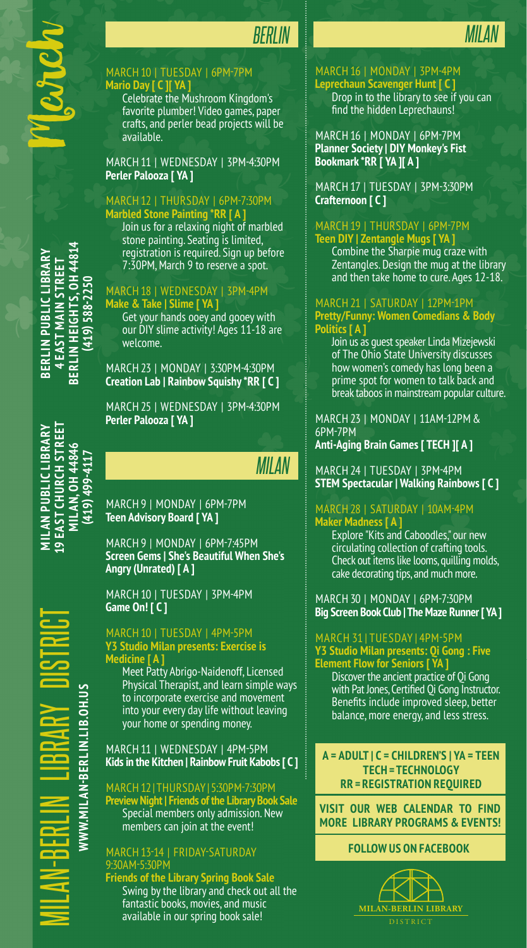# *BERLIN*

### MARCH 10 | TUESDAY | 6PM-7PM **Mario Day [ C ][ YA ]**

Celebrate the Mushroom Kingdom's favorite plumber! Video games, paper crafts, and perler bead projects will be available.

MARCH 11 | WEDNESDAY | 3PM-4:30PM **Perler Palooza [ YA ]**

## MARCH 12 | THURSDAY | 6PM-7:30PM

**Marbled Stone Painting \*RR [ A ]** Join us for a relaxing night of marbled stone painting. Seating is limited, registration is required. Sign up before 7:30PM, March 9 to reserve a spot.

### MARCH 18 | WEDNESDAY | 3PM-4PM **Make & Take | Slime [ YA ]**

Get your hands ooey and gooey with our DIY slime activity! Ages 11-18 are welcome.

MARCH 23 | MONDAY | 3:30PM-4:30PM **Creation Lab | Rainbow Squishy \*RR [ C ]**

MARCH 25 | WEDNESDAY | 3PM-4:30PM **Perler Palooza [ YA ]**

# *MILAN*

MARCH 9 | MONDAY | 6PM-7PM **Teen Advisory Board [ YA ]**

MARCH 9 | MONDAY | 6PM-7:45PM **Screen Gems | She's Beautiful When She's Angry (Unrated) [ A ]**

MARCH 10 | TUESDAY | 3PM-4PM **Game On! [ C ]**

# MARCH 10 | TUESDAY | 4PM-5PM

**Y3 Studio Milan presents: Exercise is Medicine [ A ]**

Meet Patty Abrigo-Naidenoff, Licensed Physical Therapist, and learn simple ways to incorporate exercise and movement into your every day life without leaving your home or spending money.

MARCH 11 | WEDNESDAY | 4PM-5PM **Kids in the Kitchen | Rainbow Fruit Kabobs [ C ]**

MARCH 12 | THURSDAY | 5:30PM-7:30PM **Preview Night | Friends of the Library Book Sale**

# Special members only admission. New members can join at the event!

### MARCH 13-14 | FRIDAY-SATURDAY 9:30AM-5:30PM

**Friends of the Library Spring Book Sale** Swing by the library and check out all the fantastic books, movies, and music available in our spring book sale!

MARCH 16 | MONDAY | 3PM-4PM **Leprechaun Scavenger Hunt [ C ]** Drop in to the library to see if you can find the hidden Leprechauns!

MARCH 16 | MONDAY | 6PM-7PM **Planner Society | DIY Monkey's Fist Bookmark \*RR [ YA ][ A ]**

MARCH 17 | TUESDAY | 3PM-3:30PM **Crafternoon [ C ]**

# MARCH 19 | THURSDAY | 6PM-7PM

**Teen DIY | Zentangle Mugs [ YA ]** Combine the Sharpie mug craze with Zentangles. Design the mug at the library and then take home to cure. Ages 12-18.

### MARCH 21 | SATURDAY | 12PM-1PM

**Pretty/Funny: Women Comedians & Body Politics [ A ]**

Join us as guest speaker Linda Mizejewski of The Ohio State University discusses how women's comedy has long been a prime spot for women to talk back and break taboos in mainstream popular culture.

MARCH 23 | MONDAY | 11AM-12PM & 6PM-7PM **Anti-Aging Brain Games [ TECH ][ A ]**

MARCH 24 | TUESDAY | 3PM-4PM **STEM Spectacular | Walking Rainbows [ C ]**

### MARCH 28 | SATURDAY | 10AM-4PM **Maker Madness [ A ]**

Explore "Kits and Caboodles," our new circulating collection of crafting tools. Check out items like looms, quilling molds, cake decorating tips, and much more.

MARCH 30 | MONDAY | 6PM-7:30PM **Big Screen Book Club | The Maze Runner [ YA ]**

### MARCH 31 | TUESDAY | 4PM-5PM **Y3 Studio Milan presents: Qi Gong : Five Element Flow for Seniors [ YA ]**

Discover the ancient practice of Qi Gong with Pat Jones, Certified Qi Gong Instructor. Benefits include improved sleep, better balance, more energy, and less stress.

**A = ADULT | C = CHILDREN'S | YA = TEEN TECH = TECHNOLOGY RR = REGISTRATION REQUIRED**

**VISIT OUR WEB CALENDAR TO FIND MORE LIBRARY PROGRAMS & EVENTS!**

## **FOLLOW US ON FACEBOOK**



**BERLIN HEIGHTS, OH 44814**<br>(419) 588-2250 **BERLIN HEIGHTS, OH 44814 (419) 588-2250 BERLIN PUBLIC LIBRARY BERLIN PUBLIC LIBRARY 4 EAST MAIN STREET 4 EAST MAIN STREET 19 EAST CHURCH STREET MILAN PUBLIC LIBRARY** MILAN, OH 44846 (419) 499-4117 **(419) 499-4117**

March

MILAN-BERLIN LIBRARY DISTRICT **MILAN PUBLIC LIBRARY 19 EAST CHURCH STREET MILAN, OH 44846 WWW.MILAN-BERLIN.LIB.OH.US** WWW.MILAN-BERLIN.LIB.OH.U